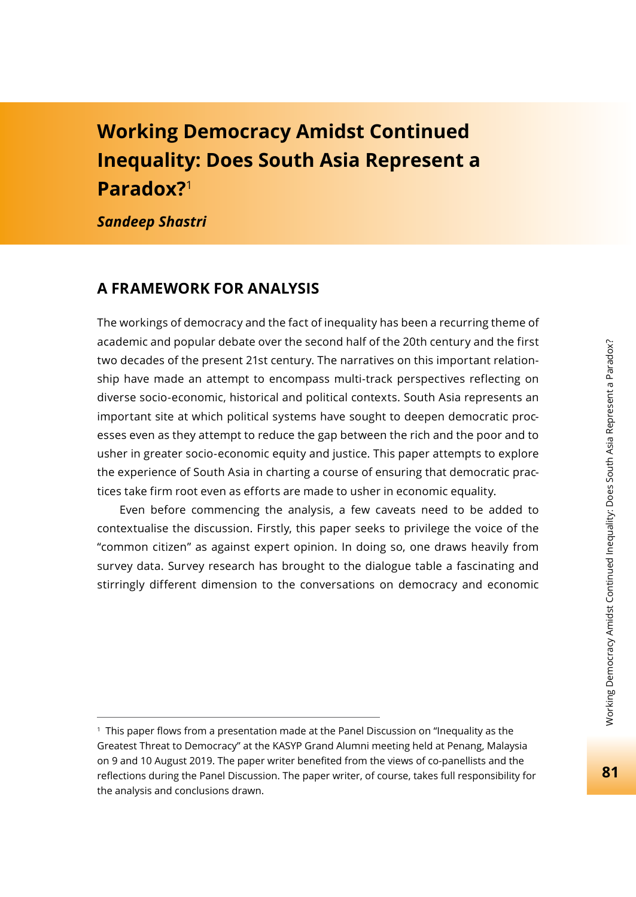# **Working Democracy Amidst Continued Inequality: Does South Asia Represent a Paradox?**<sup>1</sup>

*Sandeep Shastri*

### **A FRAMEWORK FOR ANALYSIS**

The workings of democracy and the fact of inequality has been a recurring theme of academic and popular debate over the second half of the 20th century and the first two decades of the present 21st century. The narratives on this important relationship have made an attempt to encompass multi-track perspectives reflecting on diverse socio-economic, historical and political contexts. South Asia represents an important site at which political systems have sought to deepen democratic processes even as they attempt to reduce the gap between the rich and the poor and to usher in greater socio-economic equity and justice. This paper attempts to explore the experience of South Asia in charting a course of ensuring that democratic practices take firm root even as efforts are made to usher in economic equality.

Even before commencing the analysis, a few caveats need to be added to contextualise the discussion. Firstly, this paper seeks to privilege the voice of the "common citizen" as against expert opinion. In doing so, one draws heavily from survey data. Survey research has brought to the dialogue table a fascinating and stirringly different dimension to the conversations on democracy and economic

 $1$  This paper flows from a presentation made at the Panel Discussion on "Inequality as the Greatest Threat to Democracy" at the KASYP Grand Alumni meeting held at Penang, Malaysia on 9 and 10 August 2019. The paper writer benefited from the views of co-panellists and the reflections during the Panel Discussion. The paper writer, of course, takes full responsibility for the analysis and conclusions drawn.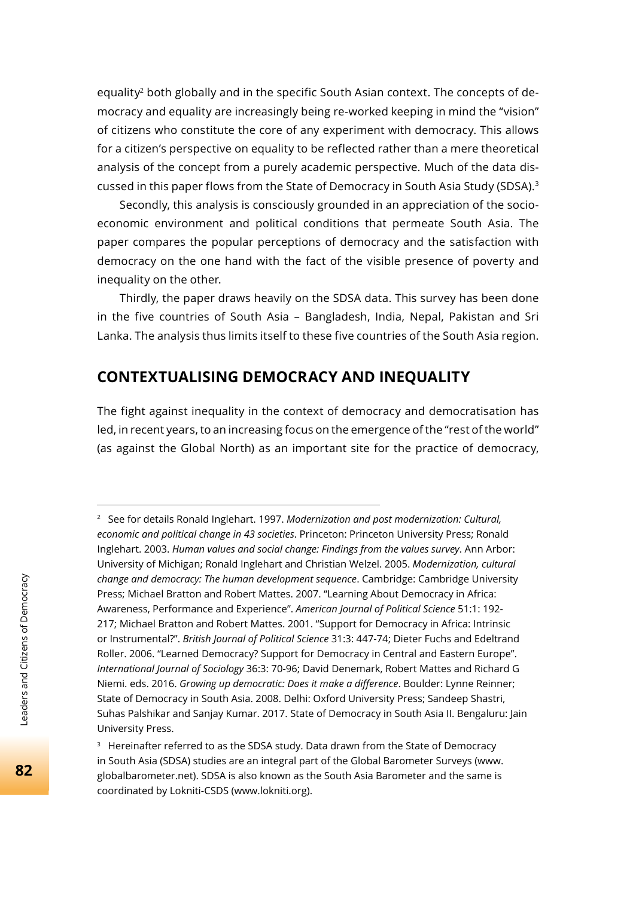equality<sup>2</sup> both globally and in the specific South Asian context. The concepts of democracy and equality are increasingly being re-worked keeping in mind the "vision" of citizens who constitute the core of any experiment with democracy. This allows for a citizen's perspective on equality to be reflected rather than a mere theoretical analysis of the concept from a purely academic perspective. Much of the data discussed in this paper flows from the State of Democracy in South Asia Study (SDSA).<sup>3</sup>

Secondly, this analysis is consciously grounded in an appreciation of the socioeconomic environment and political conditions that permeate South Asia. The paper compares the popular perceptions of democracy and the satisfaction with democracy on the one hand with the fact of the visible presence of poverty and inequality on the other.

Thirdly, the paper draws heavily on the SDSA data. This survey has been done in the five countries of South Asia – Bangladesh, India, Nepal, Pakistan and Sri Lanka. The analysis thus limits itself to these five countries of the South Asia region.

## **CONTEXTUALISING DEMOCRACY AND INEQUALITY**

The fight against inequality in the context of democracy and democratisation has led, in recent years, to an increasing focus on the emergence of the "rest of the world" (as against the Global North) as an important site for the practice of democracy,

<sup>2</sup> See for details Ronald Inglehart. 1997. *Modernization and post modernization: Cultural, economic and political change in 43 societies*. Princeton: Princeton University Press; Ronald Inglehart. 2003. *Human values and social change: Findings from the values survey*. Ann Arbor: University of Michigan; Ronald Inglehart and Christian Welzel. 2005. *Modernization, cultural change and democracy: The human development sequence*. Cambridge: Cambridge University Press; Michael Bratton and Robert Mattes. 2007. "Learning About Democracy in Africa: Awareness, Performance and Experience". *American Journal of Political Science* 51:1: 192- 217; Michael Bratton and Robert Mattes. 2001. "Support for Democracy in Africa: Intrinsic or Instrumental?". *British Journal of Political Science* 31:3: 447-74; Dieter Fuchs and Edeltrand Roller. 2006. "Learned Democracy? Support for Democracy in Central and Eastern Europe". *International Journal of Sociology* 36:3: 70-96; David Denemark, Robert Mattes and Richard G Niemi. eds. 2016. *Growing up democratic: Does it make a diff erence*. Boulder: Lynne Reinner; State of Democracy in South Asia. 2008. Delhi: Oxford University Press; Sandeep Shastri, Suhas Palshikar and Sanjay Kumar. 2017. State of Democracy in South Asia II. Bengaluru: Jain University Press.

<sup>&</sup>lt;sup>3</sup> Hereinafter referred to as the SDSA study. Data drawn from the State of Democracy in South Asia (SDSA) studies are an integral part of the Global Barometer Surveys (www. globalbarometer.net). SDSA is also known as the South Asia Barometer and the same is coordinated by Lokniti-CSDS (www.lokniti.org).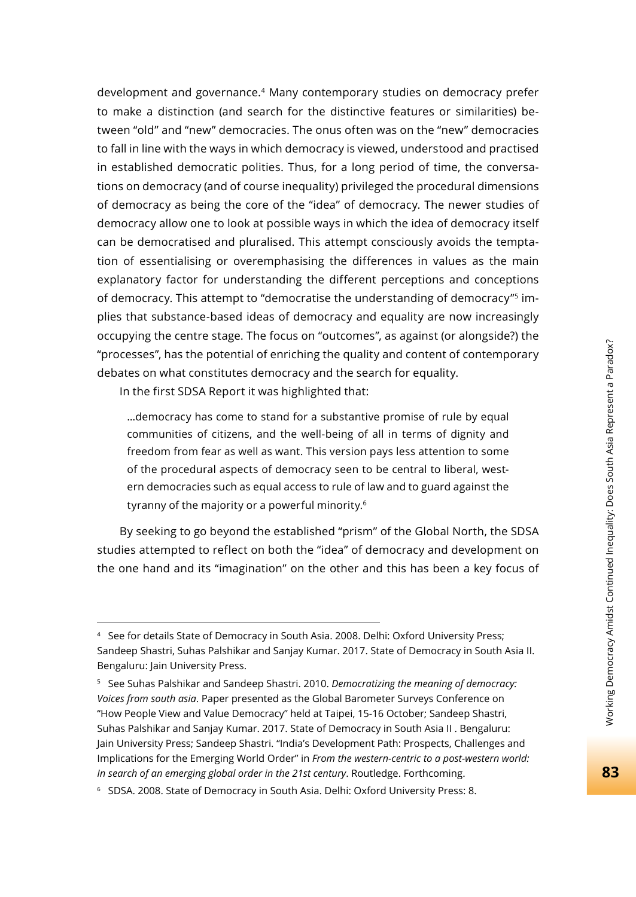development and governance.4 Many contemporary studies on democracy prefer to make a distinction (and search for the distinctive features or similarities) between "old" and "new" democracies. The onus often was on the "new" democracies to fall in line with the ways in which democracy is viewed, understood and practised in established democratic polities. Thus, for a long period of time, the conversations on democracy (and of course inequality) privileged the procedural dimensions of democracy as being the core of the "idea" of democracy. The newer studies of democracy allow one to look at possible ways in which the idea of democracy itself can be democratised and pluralised. This attempt consciously avoids the temptation of essentialising or overemphasising the differences in values as the main explanatory factor for understanding the different perceptions and conceptions of democracy. This attempt to "democratise the understanding of democracy"<sup>5</sup> implies that substance-based ideas of democracy and equality are now increasingly occupying the centre stage. The focus on "outcomes", as against (or alongside?) the "processes", has the potential of enriching the quality and content of contemporary debates on what constitutes democracy and the search for equality.

In the first SDSA Report it was highlighted that:

…democracy has come to stand for a substantive promise of rule by equal communities of citizens, and the well-being of all in terms of dignity and freedom from fear as well as want. This version pays less attention to some of the procedural aspects of democracy seen to be central to liberal, western democracies such as equal access to rule of law and to guard against the tyranny of the majority or a powerful minority.<sup>6</sup>

By seeking to go beyond the established "prism" of the Global North, the SDSA studies attempted to reflect on both the "idea" of democracy and development on the one hand and its "imagination" on the other and this has been a key focus of

<sup>4</sup> See for details State of Democracy in South Asia. 2008. Delhi: Oxford University Press; Sandeep Shastri, Suhas Palshikar and Sanjay Kumar. 2017. State of Democracy in South Asia II. Bengaluru: Jain University Press.

<sup>5</sup> See Suhas Palshikar and Sandeep Shastri. 2010. *Democratizing the meaning of democracy: Voices from south asia*. Paper presented as the Global Barometer Surveys Conference on "How People View and Value Democracy" held at Taipei, 15-16 October; Sandeep Shastri, Suhas Palshikar and Sanjay Kumar. 2017. State of Democracy in South Asia II . Bengaluru: Jain University Press; Sandeep Shastri. "India's Development Path: Prospects, Challenges and Implications for the Emerging World Order" in *From the western-centric to a post-western world: In search of an emerging global order in the 21st century*. Routledge. Forthcoming.

<sup>6</sup> SDSA. 2008. State of Democracy in South Asia. Delhi: Oxford University Press: 8.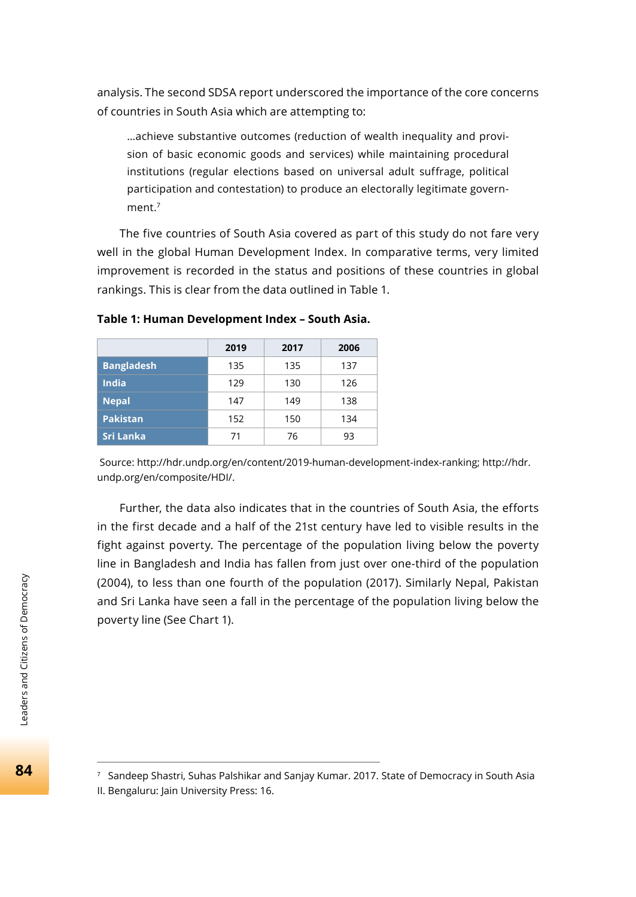analysis. The second SDSA report underscored the importance of the core concerns of countries in South Asia which are attempting to:

…achieve substantive outcomes (reduction of wealth inequality and provision of basic economic goods and services) while maintaining procedural institutions (regular elections based on universal adult suffrage, political participation and contestation) to produce an electorally legitimate government $<sup>7</sup>$ </sup>

The five countries of South Asia covered as part of this study do not fare very well in the global Human Development Index. In comparative terms, very limited improvement is recorded in the status and positions of these countries in global rankings. This is clear from the data outlined in Table 1.

|                   | 2019 | 2017 | 2006 |
|-------------------|------|------|------|
| <b>Bangladesh</b> | 135  | 135  | 137  |
| <b>India</b>      | 129  | 130  | 126  |
| <b>Nepal</b>      | 147  | 149  | 138  |
| <b>Pakistan</b>   | 152  | 150  | 134  |
| Sri Lanka         | 71   | 76   | 93   |

**Table 1: Human Development Index – South Asia.**

 Source: http://hdr.undp.org/en/content/2019-human-development-index-ranking; http://hdr. undp.org/en/composite/HDI/.

Further, the data also indicates that in the countries of South Asia, the efforts in the first decade and a half of the 21st century have led to visible results in the fight against poverty. The percentage of the population living below the poverty line in Bangladesh and India has fallen from just over one-third of the population (2004), to less than one fourth of the population (2017). Similarly Nepal, Pakistan and Sri Lanka have seen a fall in the percentage of the population living below the poverty line (See Chart 1).

7 Sandeep Shastri, Suhas Palshikar and Sanjay Kumar. 2017. State of Democracy in South Asia II. Bengaluru: Jain University Press: 16.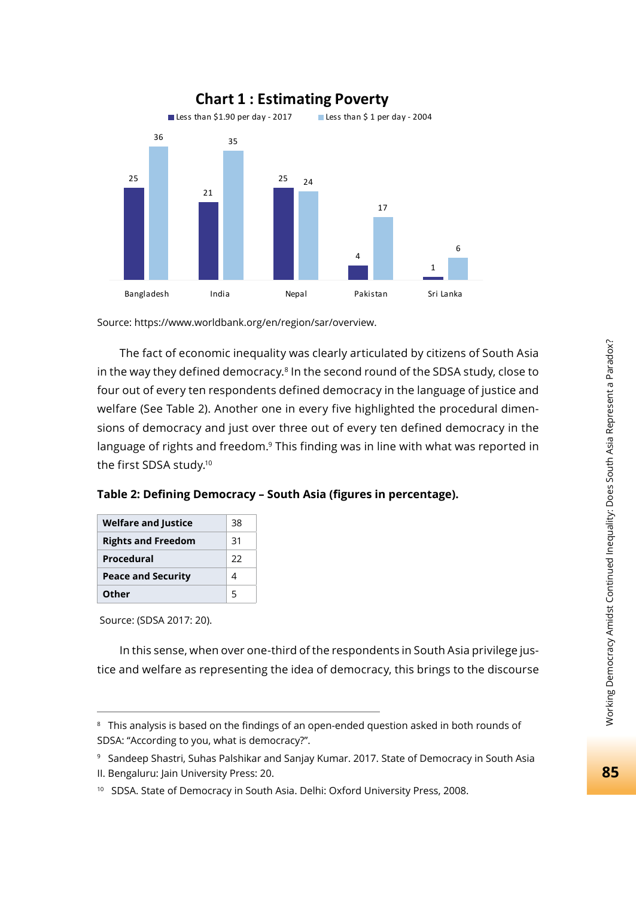

Source: https://www.worldbank.org/en/region/sar/overview.

The fact of economic inequality was clearly articulated by citizens of South Asia in the way they defined democracy.<sup>8</sup> In the second round of the SDSA study, close to four out of every ten respondents defined democracy in the language of justice and welfare (See Table 2). Another one in every five highlighted the procedural dimensions of democracy and just over three out of every ten defined democracy in the language of rights and freedom.<sup>9</sup> This finding was in line with what was reported in the first SDSA study.10

| Table 2: Defining Democracy - South Asia (figures in percentage). |
|-------------------------------------------------------------------|
|-------------------------------------------------------------------|

| <b>Welfare and Justice</b> | 38 |
|----------------------------|----|
| <b>Rights and Freedom</b>  | 31 |
| Procedural                 | フフ |
| <b>Peace and Security</b>  |    |
| Other                      | 5  |

Source: (SDSA 2017: 20).

In this sense, when over one-third of the respondents in South Asia privilege justice and welfare as representing the idea of democracy, this brings to the discourse

<sup>&</sup>lt;sup>8</sup> This analysis is based on the findings of an open-ended question asked in both rounds of SDSA: "According to you, what is democracy?".

<sup>9</sup> Sandeep Shastri, Suhas Palshikar and Sanjay Kumar. 2017. State of Democracy in South Asia

II. Bengaluru: Jain University Press: 20.

<sup>&</sup>lt;sup>10</sup> SDSA. State of Democracy in South Asia. Delhi: Oxford University Press, 2008.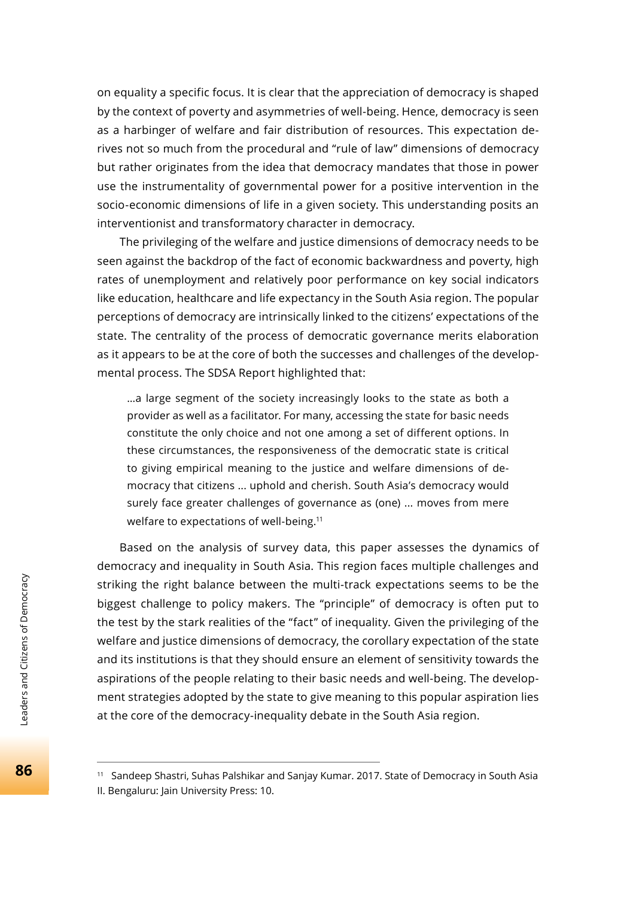on equality a specific focus. It is clear that the appreciation of democracy is shaped by the context of poverty and asymmetries of well-being. Hence, democracy is seen as a harbinger of welfare and fair distribution of resources. This expectation derives not so much from the procedural and "rule of law" dimensions of democracy but rather originates from the idea that democracy mandates that those in power use the instrumentality of governmental power for a positive intervention in the socio-economic dimensions of life in a given society. This understanding posits an interventionist and transformatory character in democracy.

The privileging of the welfare and justice dimensions of democracy needs to be seen against the backdrop of the fact of economic backwardness and poverty, high rates of unemployment and relatively poor performance on key social indicators like education, healthcare and life expectancy in the South Asia region. The popular perceptions of democracy are intrinsically linked to the citizens' expectations of the state. The centrality of the process of democratic governance merits elaboration as it appears to be at the core of both the successes and challenges of the developmental process. The SDSA Report highlighted that:

…a large segment of the society increasingly looks to the state as both a provider as well as a facilitator. For many, accessing the state for basic needs constitute the only choice and not one among a set of different options. In these circumstances, the responsiveness of the democratic state is critical to giving empirical meaning to the justice and welfare dimensions of democracy that citizens ... uphold and cherish. South Asia's democracy would surely face greater challenges of governance as (one) ... moves from mere welfare to expectations of well-being.<sup>11</sup>

Based on the analysis of survey data, this paper assesses the dynamics of democracy and inequality in South Asia. This region faces multiple challenges and striking the right balance between the multi-track expectations seems to be the biggest challenge to policy makers. The "principle" of democracy is often put to the test by the stark realities of the "fact" of inequality. Given the privileging of the welfare and justice dimensions of democracy, the corollary expectation of the state and its institutions is that they should ensure an element of sensitivity towards the aspirations of the people relating to their basic needs and well-being. The development strategies adopted by the state to give meaning to this popular aspiration lies at the core of the democracy-inequality debate in the South Asia region.

<sup>11</sup> Sandeep Shastri, Suhas Palshikar and Sanjay Kumar. 2017. State of Democracy in South Asia II. Bengaluru: Jain University Press: 10.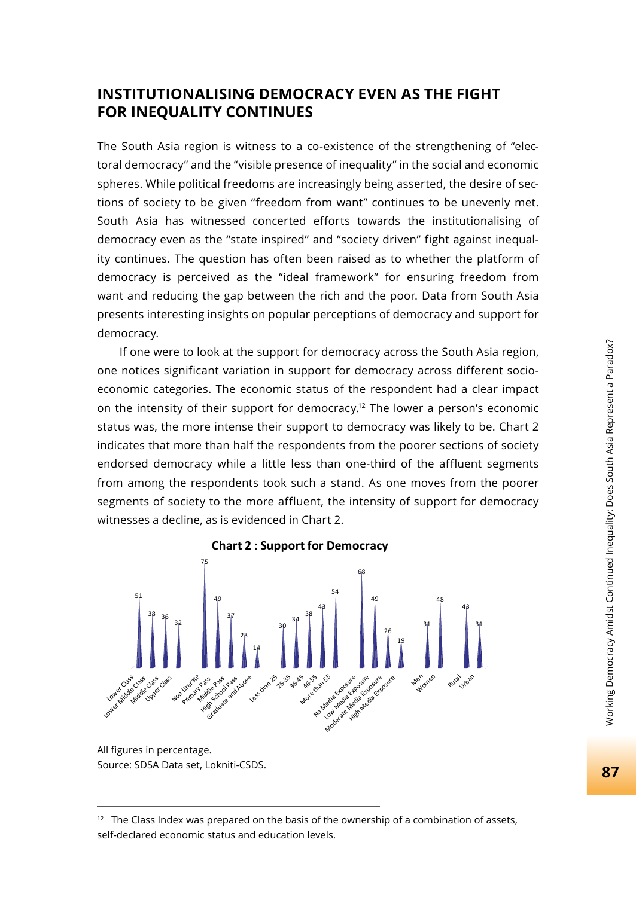## **INSTITUTIONALISING DEMOCRACY EVEN AS THE FIGHT FOR INEQUALITY CONTINUES**

The South Asia region is witness to a co-existence of the strengthening of "electoral democracy" and the "visible presence of inequality" in the social and economic spheres. While political freedoms are increasingly being asserted, the desire of sections of society to be given "freedom from want" continues to be unevenly met. South Asia has witnessed concerted efforts towards the institutionalising of democracy even as the "state inspired" and "society driven" fight against inequality continues. The question has often been raised as to whether the platform of democracy is perceived as the "ideal framework" for ensuring freedom from want and reducing the gap between the rich and the poor. Data from South Asia presents interesting insights on popular perceptions of democracy and support for democracy.

If one were to look at the support for democracy across the South Asia region, one notices significant variation in support for democracy across different socioeconomic categories. The economic status of the respondent had a clear impact on the intensity of their support for democracy.12 The lower a person's economic status was, the more intense their support to democracy was likely to be. Chart 2 indicates that more than half the respondents from the poorer sections of society endorsed democracy while a little less than one-third of the affluent segments from among the respondents took such a stand. As one moves from the poorer segments of society to the more affluent, the intensity of support for democracy witnesses a decline, as is evidenced in Chart 2.



All figures in percentage. Source: SDSA Data set, Lokniti-CSDS.

 $12$  The Class Index was prepared on the basis of the ownership of a combination of assets, self-declared economic status and education levels.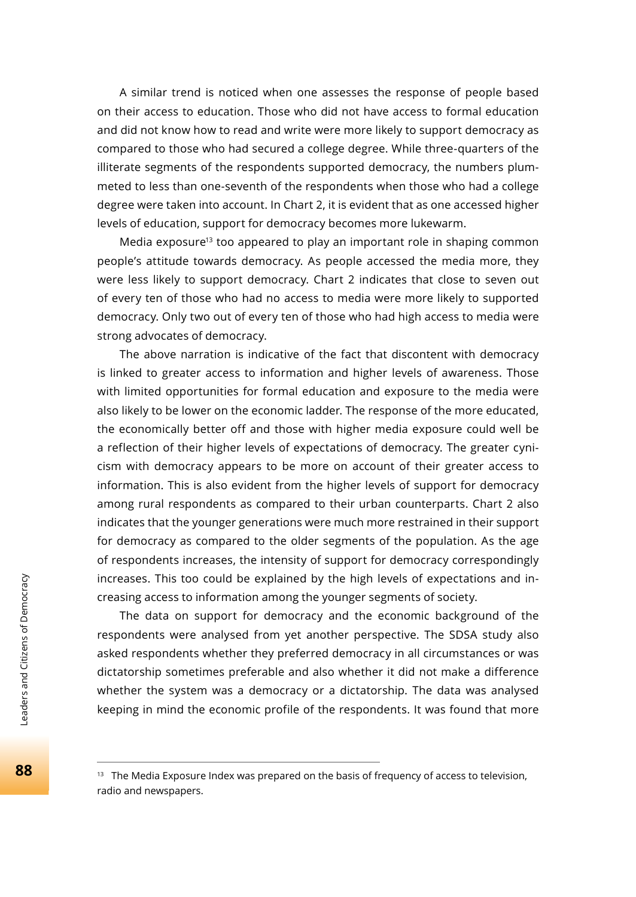A similar trend is noticed when one assesses the response of people based on their access to education. Those who did not have access to formal education and did not know how to read and write were more likely to support democracy as compared to those who had secured a college degree. While three-quarters of the illiterate segments of the respondents supported democracy, the numbers plummeted to less than one-seventh of the respondents when those who had a college degree were taken into account. In Chart 2, it is evident that as one accessed higher levels of education, support for democracy becomes more lukewarm.

Media exposure<sup>13</sup> too appeared to play an important role in shaping common people's attitude towards democracy. As people accessed the media more, they were less likely to support democracy. Chart 2 indicates that close to seven out of every ten of those who had no access to media were more likely to supported democracy. Only two out of every ten of those who had high access to media were strong advocates of democracy.

The above narration is indicative of the fact that discontent with democracy is linked to greater access to information and higher levels of awareness. Those with limited opportunities for formal education and exposure to the media were also likely to be lower on the economic ladder. The response of the more educated, the economically better off and those with higher media exposure could well be a reflection of their higher levels of expectations of democracy. The greater cynicism with democracy appears to be more on account of their greater access to information. This is also evident from the higher levels of support for democracy among rural respondents as compared to their urban counterparts. Chart 2 also indicates that the younger generations were much more restrained in their support for democracy as compared to the older segments of the population. As the age of respondents increases, the intensity of support for democracy correspondingly increases. This too could be explained by the high levels of expectations and increasing access to information among the younger segments of society.

The data on support for democracy and the economic background of the respondents were analysed from yet another perspective. The SDSA study also asked respondents whether they preferred democracy in all circumstances or was dictatorship sometimes preferable and also whether it did not make a difference whether the system was a democracy or a dictatorship. The data was analysed keeping in mind the economic profile of the respondents. It was found that more

<sup>&</sup>lt;sup>13</sup> The Media Exposure Index was prepared on the basis of frequency of access to television, radio and newspapers.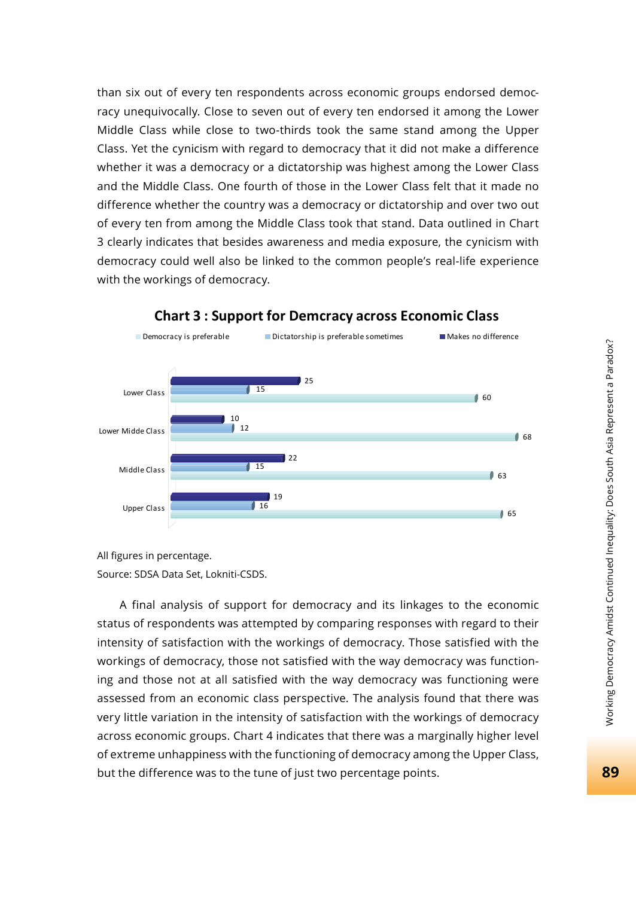than six out of every ten respondents across economic groups endorsed democracy unequivocally. Close to seven out of every ten endorsed it among the Lower Middle Class while close to two-thirds took the same stand among the Upper Class. Yet the cynicism with regard to democracy that it did not make a difference whether it was a democracy or a dictatorship was highest among the Lower Class and the Middle Class. One fourth of those in the Lower Class felt that it made no difference whether the country was a democracy or dictatorship and over two out of every ten from among the Middle Class took that stand. Data outlined in Chart 3 clearly indicates that besides awareness and media exposure, the cynicism with democracy could well also be linked to the common people's real-life experience with the workings of democracy.



#### **Chart 3 : Support for Demcracy across Economic Class**

All figures in percentage. Source: SDSA Data Set, Lokniti-CSDS.

A final analysis of support for democracy and its linkages to the economic status of respondents was attempted by comparing responses with regard to their intensity of satisfaction with the workings of democracy. Those satisfied with the workings of democracy, those not satisfied with the way democracy was functioning and those not at all satisfied with the way democracy was functioning were assessed from an economic class perspective. The analysis found that there was very little variation in the intensity of satisfaction with the workings of democracy across economic groups. Chart 4 indicates that there was a marginally higher level of extreme unhappiness with the functioning of democracy among the Upper Class, but the difference was to the tune of just two percentage points.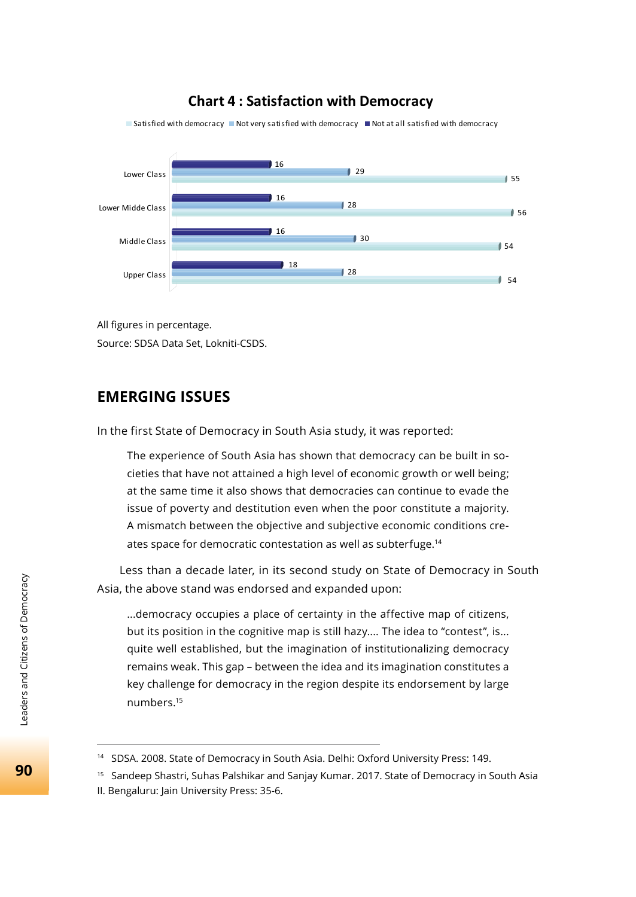## **Chart 4 : Satisfaction with Democracy**

 $654$ 28 18  $\overline{30}$  54 16 56  $128$ 16  $\overline{\phantom{0}}$  29  $\overline{\phantom{0}}$  55 16 Upper Class Middle Class Lower Midde Class Lower Class  $\blacksquare$  Satisfied with democracy  $\blacksquare$  Not very satisfied with democracy  $\blacksquare$  Not at all satisfied with democracy

All figures in percentage. Source: SDSA Data Set, Lokniti-CSDS.

## **EMERGING ISSUES**

In the first State of Democracy in South Asia study, it was reported:

The experience of South Asia has shown that democracy can be built in societies that have not attained a high level of economic growth or well being; at the same time it also shows that democracies can continue to evade the issue of poverty and destitution even when the poor constitute a majority. A mismatch between the objective and subjective economic conditions creates space for democratic contestation as well as subterfuge.<sup>14</sup>

Less than a decade later, in its second study on State of Democracy in South Asia, the above stand was endorsed and expanded upon:

...democracy occupies a place of certainty in the affective map of citizens, but its position in the cognitive map is still hazy.... The idea to "contest", is... quite well established, but the imagination of institutionalizing democracy remains weak. This gap – between the idea and its imagination constitutes a key challenge for democracy in the region despite its endorsement by large numbers.15

90

<sup>&</sup>lt;sup>14</sup> SDSA. 2008. State of Democracy in South Asia. Delhi: Oxford University Press: 149.

<sup>&</sup>lt;sup>15</sup> Sandeep Shastri, Suhas Palshikar and Sanjay Kumar. 2017. State of Democracy in South Asia II. Bengaluru: Jain University Press: 35-6.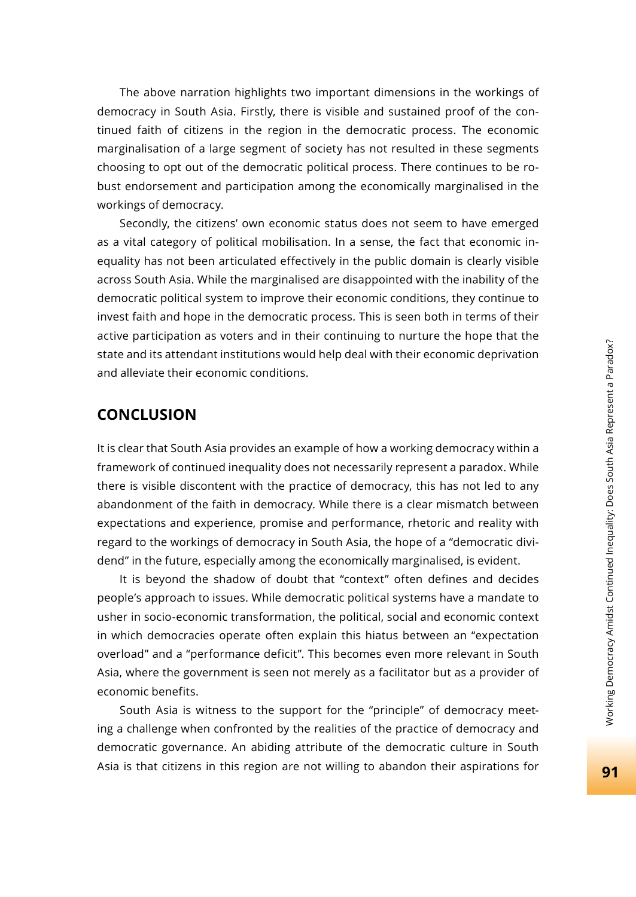The above narration highlights two important dimensions in the workings of democracy in South Asia. Firstly, there is visible and sustained proof of the continued faith of citizens in the region in the democratic process. The economic marginalisation of a large segment of society has not resulted in these segments choosing to opt out of the democratic political process. There continues to be robust endorsement and participation among the economically marginalised in the workings of democracy.

Secondly, the citizens' own economic status does not seem to have emerged as a vital category of political mobilisation. In a sense, the fact that economic inequality has not been articulated effectively in the public domain is clearly visible across South Asia. While the marginalised are disappointed with the inability of the democratic political system to improve their economic conditions, they continue to invest faith and hope in the democratic process. This is seen both in terms of their active participation as voters and in their continuing to nurture the hope that the state and its attendant institutions would help deal with their economic deprivation and alleviate their economic conditions.

## **CONCLUSION**

It is clear that South Asia provides an example of how a working democracy within a framework of continued inequality does not necessarily represent a paradox. While there is visible discontent with the practice of democracy, this has not led to any abandonment of the faith in democracy. While there is a clear mismatch between expectations and experience, promise and performance, rhetoric and reality with regard to the workings of democracy in South Asia, the hope of a "democratic dividend" in the future, especially among the economically marginalised, is evident.

It is beyond the shadow of doubt that "context" often defines and decides people's approach to issues. While democratic political systems have a mandate to usher in socio-economic transformation, the political, social and economic context in which democracies operate often explain this hiatus between an "expectation overload" and a "performance deficit". This becomes even more relevant in South Asia, where the government is seen not merely as a facilitator but as a provider of economic benefits.

South Asia is witness to the support for the "principle" of democracy meeting a challenge when confronted by the realities of the practice of democracy and democratic governance. An abiding attribute of the democratic culture in South Asia is that citizens in this region are not willing to abandon their aspirations for